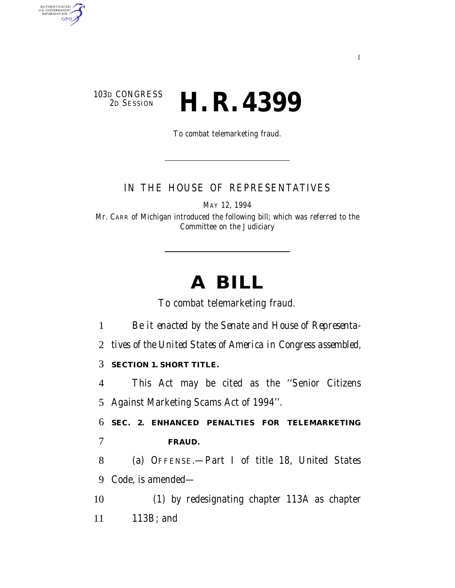### 103D CONGRESS<br>2D SESSION 2D SESSION **H. R. 4399**

AUTHENTICATED<br>U.S. GOVERNMENT<br>INFORMATION

**GPO** 

To combat telemarketing fraud.

### IN THE HOUSE OF REPRESENTATIVES

MAY 12, 1994

Mr. CARR of Michigan introduced the following bill; which was referred to the Committee on the Judiciary

# **A BILL**

To combat telemarketing fraud.

1 *Be it enacted by the Senate and House of Representa-*

2 *tives of the United States of America in Congress assembled,*

3 **SECTION 1. SHORT TITLE.**

4 This Act may be cited as the ''Senior Citizens 5 Against Marketing Scams Act of 1994''.

6 **SEC. 2. ENHANCED PENALTIES FOR TELEMARKETING** 7 **FRAUD.**

8 (a) OFFENSE.—Part I of title 18, United States 9 Code, is amended—

10 (1) by redesignating chapter 113A as chapter

11 113B; and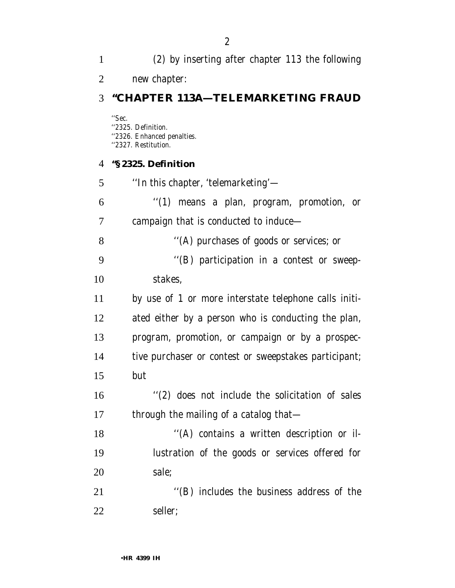new chapter: **''CHAPTER 113A—TELEMARKETING FRAUD** ''Sec. ''2325. Definition. ''2326. Enhanced penalties. ''2327. Restitution. **''§ 2325. Definition** ''In this chapter, 'telemarketing'— ''(1) means a plan, program, promotion, or campaign that is conducted to induce— ''(A) purchases of goods or services; or ''(B) participation in a contest or sweep- stakes, by use of 1 or more interstate telephone calls initi- ated either by a person who is conducting the plan, program, promotion, or campaign or by a prospec- tive purchaser or contest or sweepstakes participant; but ''(2) does not include the solicitation of sales 17 through the mailing of a catalog that-18 "(A) contains a written description or il- lustration of the goods or services offered for sale; 21 ''(B) includes the business address of the seller;

(2) by inserting after chapter 113 the following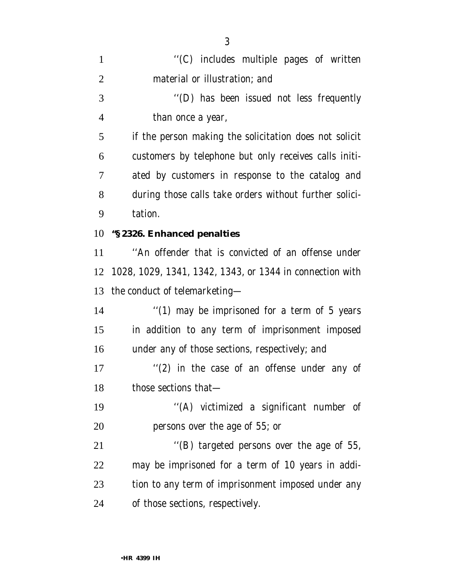| $\mathbf{1}$   | "(C) includes multiple pages of written                  |
|----------------|----------------------------------------------------------|
| $\overline{2}$ | material or illustration; and                            |
| 3              | "(D) has been issued not less frequently                 |
| 4              | than once a year,                                        |
| 5              | if the person making the solicitation does not solicit   |
| 6              | customers by telephone but only receives calls initi-    |
| 7              | ated by customers in response to the catalog and         |
| 8              | during those calls take orders without further solici-   |
| 9              | tation.                                                  |
| 10             | "§2326. Enhanced penalties                               |
| 11             | "An offender that is convicted of an offense under       |
| 12             | 1028, 1029, 1341, 1342, 1343, or 1344 in connection with |
| 13             | the conduct of telemarketing—                            |
| 14             | "(1) may be imprisoned for a term of 5 years             |
| 15             | in addition to any term of imprisonment imposed          |
| 16             | under any of those sections, respectively; and           |
| 17             |                                                          |
|                | "(2) in the case of an offense under any of              |
| 18             | those sections that-                                     |
| 19             | "(A) victimized a significant number of                  |
| 20             | persons over the age of 55; or                           |
| 21             | "(B) targeted persons over the age of 55,                |
| 22             | may be imprisoned for a term of 10 years in addi-        |
| 23             | tion to any term of imprisonment imposed under any       |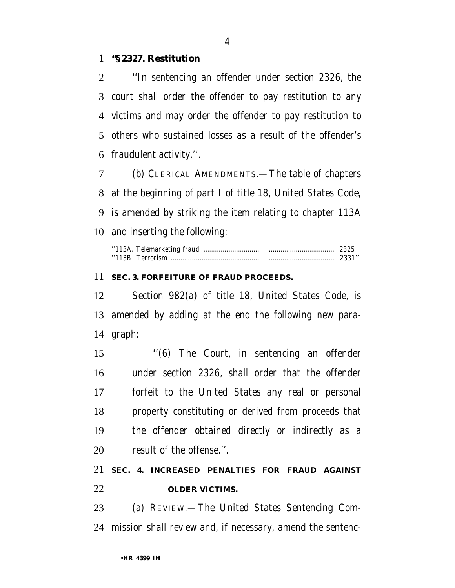#### **''§ 2327. Restitution**

 ''In sentencing an offender under section 2326, the court shall order the offender to pay restitution to any victims and may order the offender to pay restitution to others who sustained losses as a result of the offender's fraudulent activity.''.

 (b) CLERICAL AMENDMENTS.—The table of chapters at the beginning of part I of title 18, United States Code, is amended by striking the item relating to chapter 113A and inserting the following:

#### **SEC. 3. FORFEITURE OF FRAUD PROCEEDS.**

 Section 982(a) of title 18, United States Code, is amended by adding at the end the following new para-graph:

 ''(6) The Court, in sentencing an offender under section 2326, shall order that the offender forfeit to the United States any real or personal property constituting or derived from proceeds that the offender obtained directly or indirectly as a result of the offense.''.

## **SEC. 4. INCREASED PENALTIES FOR FRAUD AGAINST OLDER VICTIMS.**

 (a) REVIEW.—The United States Sentencing Com-mission shall review and, if necessary, amend the sentenc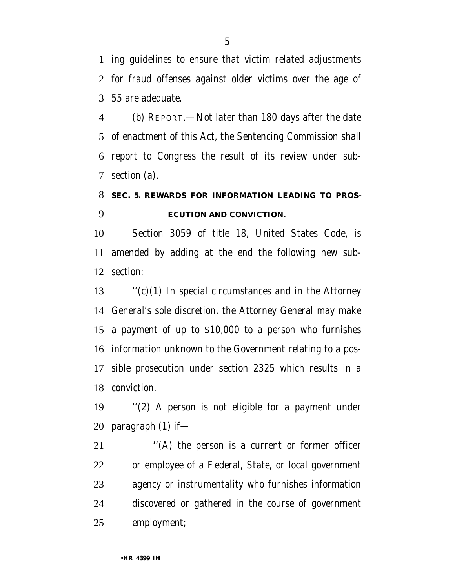ing guidelines to ensure that victim related adjustments for fraud offenses against older victims over the age of 55 are adequate.

 (b) REPORT.—Not later than 180 days after the date of enactment of this Act, the Sentencing Commission shall report to Congress the result of its review under sub-section (a).

# **SEC. 5. REWARDS FOR INFORMATION LEADING TO PROS-ECUTION AND CONVICTION.**

 Section 3059 of title 18, United States Code, is amended by adding at the end the following new sub-section:

 ''(c)(1) In special circumstances and in the Attorney General's sole discretion, the Attorney General may make a payment of up to \$10,000 to a person who furnishes information unknown to the Government relating to a pos- sible prosecution under section 2325 which results in a conviction.

 ''(2) A person is not eligible for a payment under paragraph (1) if—

 ''(A) the person is a current or former officer or employee of a Federal, State, or local government agency or instrumentality who furnishes information discovered or gathered in the course of government employment;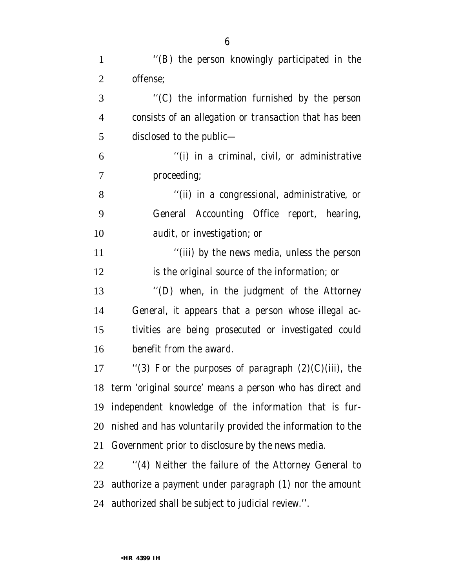| $\mathbf{1}$   | "(B) the person knowingly participated in the              |
|----------------|------------------------------------------------------------|
| $\overline{2}$ | offense;                                                   |
| 3              | "(C) the information furnished by the person               |
| $\overline{4}$ | consists of an allegation or transaction that has been     |
| 5              | disclosed to the public—                                   |
| 6              | "(i) in a criminal, civil, or administrative               |
| 7              | proceeding;                                                |
| 8              | "(ii) in a congressional, administrative, or               |
| 9              | General Accounting Office report, hearing,                 |
| 10             | audit, or investigation; or                                |
| 11             | "(iii) by the news media, unless the person                |
| 12             | is the original source of the information; or              |
| 13             | "(D) when, in the judgment of the Attorney                 |
| 14             | General, it appears that a person whose illegal ac-        |
| 15             | tivities are being prosecuted or investigated could        |
| 16             | benefit from the award.                                    |
| 17             | "(3) For the purposes of paragraph $(2)(C)(iii)$ , the     |
| 18             | term 'original source' means a person who has direct and   |
| 19             | independent knowledge of the information that is fur-      |
| 20             | nished and has voluntarily provided the information to the |
| 21             | Government prior to disclosure by the news media.          |
| 22             | "(4) Neither the failure of the Attorney General to        |
| 23             | authorize a payment under paragraph (1) nor the amount     |
| 24             | authorized shall be subject to judicial review.".          |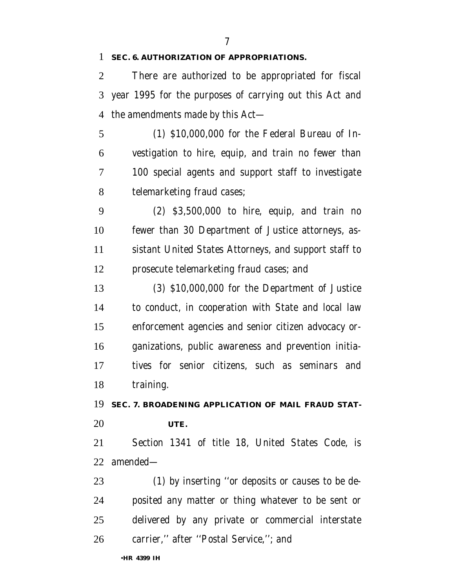#### **SEC. 6. AUTHORIZATION OF APPROPRIATIONS.**

 There are authorized to be appropriated for fiscal year 1995 for the purposes of carrying out this Act and the amendments made by this Act—

 (1) \$10,000,000 for the Federal Bureau of In- vestigation to hire, equip, and train no fewer than 100 special agents and support staff to investigate telemarketing fraud cases;

 (2) \$3,500,000 to hire, equip, and train no fewer than 30 Department of Justice attorneys, as- sistant United States Attorneys, and support staff to prosecute telemarketing fraud cases; and

 (3) \$10,000,000 for the Department of Justice to conduct, in cooperation with State and local law enforcement agencies and senior citizen advocacy or- ganizations, public awareness and prevention initia- tives for senior citizens, such as seminars and 18 training.

 **SEC. 7. BROADENING APPLICATION OF MAIL FRAUD STAT-UTE.**

 Section 1341 of title 18, United States Code, is amended—

 (1) by inserting ''or deposits or causes to be de- posited any matter or thing whatever to be sent or delivered by any private or commercial interstate carrier,'' after ''Postal Service,''; and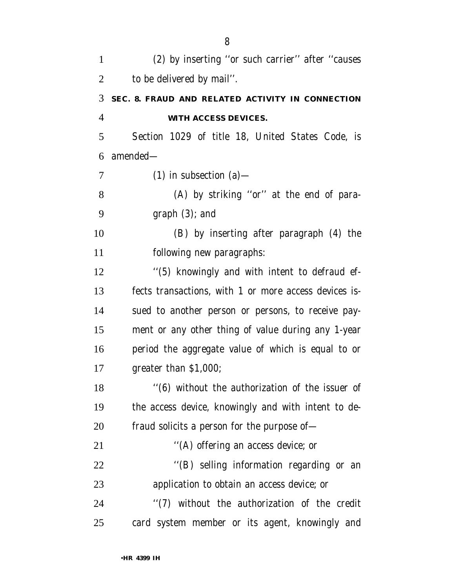| $\mathbf{1}$   | (2) by inserting "or such carrier" after "causes      |
|----------------|-------------------------------------------------------|
| $\overline{2}$ | to be delivered by mail".                             |
| 3              | SEC. 8. FRAUD AND RELATED ACTIVITY IN CONNECTION      |
| $\overline{4}$ | WITH ACCESS DEVICES.                                  |
| 5              | Section 1029 of title 18, United States Code, is      |
| 6              | $amended-$                                            |
| 7              | $(1)$ in subsection $(a)$ —                           |
| 8              | (A) by striking "or" at the end of para-              |
| 9              | $graph(3)$ ; and                                      |
| 10             | (B) by inserting after paragraph (4) the              |
| 11             | following new paragraphs:                             |
| 12             | "(5) knowingly and with intent to defraud ef-         |
| 13             | fects transactions, with 1 or more access devices is- |
| 14             | sued to another person or persons, to receive pay-    |
| 15             | ment or any other thing of value during any 1-year    |
| 16             | period the aggregate value of which is equal to or    |
| 17             | greater than $$1,000$ ;                               |
| 18             | "(6) without the authorization of the issuer of       |
| 19             | the access device, knowingly and with intent to de-   |
| 20             | fraud solicits a person for the purpose of—           |
| 21             | "(A) offering an access device; or                    |
| 22             | "(B) selling information regarding or an              |
| 23             | application to obtain an access device; or            |
| 24             | "(7) without the authorization of the credit          |
| 25             | card system member or its agent, knowingly and        |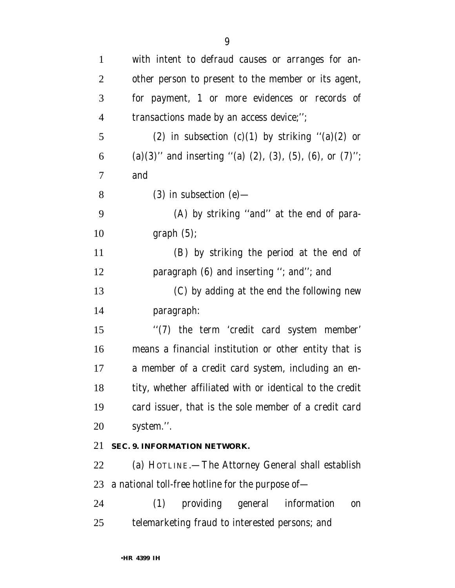| $\mathbf{1}$   | with intent to defraud causes or arranges for an-                          |
|----------------|----------------------------------------------------------------------------|
| $\overline{2}$ | other person to present to the member or its agent,                        |
| 3              | for payment, 1 or more evidences or records of                             |
| $\overline{4}$ | transactions made by an access device;";                                   |
| 5              | (2) in subsection (c)(1) by striking " $(a)(2)$ or                         |
| 6              | (a) $(3)$ " and inserting "(a) $(2)$ , $(3)$ , $(5)$ , $(6)$ , or $(7)$ "; |
| $\tau$         | and                                                                        |
| 8              | $(3)$ in subsection $(e)$ —                                                |
| 9              | (A) by striking "and" at the end of para-                                  |
| 10             | graph(5);                                                                  |
| 11             | (B) by striking the period at the end of                                   |
| 12             | paragraph (6) and inserting "; and"; and                                   |
| 13             | (C) by adding at the end the following new                                 |
| 14             | paragraph:                                                                 |
| 15             | "(7) the term 'credit card system member'                                  |
| 16             | means a financial institution or other entity that is                      |
| 17             | a member of a credit card system, including an en-                         |
| 18             | tity, whether affiliated with or identical to the credit                   |
| 19             | card issuer, that is the sole member of a credit card                      |
| 20             | system.".                                                                  |
| 21             | SEC. 9. INFORMATION NETWORK.                                               |
| 22             | (a) HOTLINE.—The Attorney General shall establish                          |
| 23             | a national toll-free hotline for the purpose of-                           |
| 24             | providing general<br>(1)<br>information<br><sub>on</sub>                   |
| 25             | telemarketing fraud to interested persons; and                             |
|                |                                                                            |